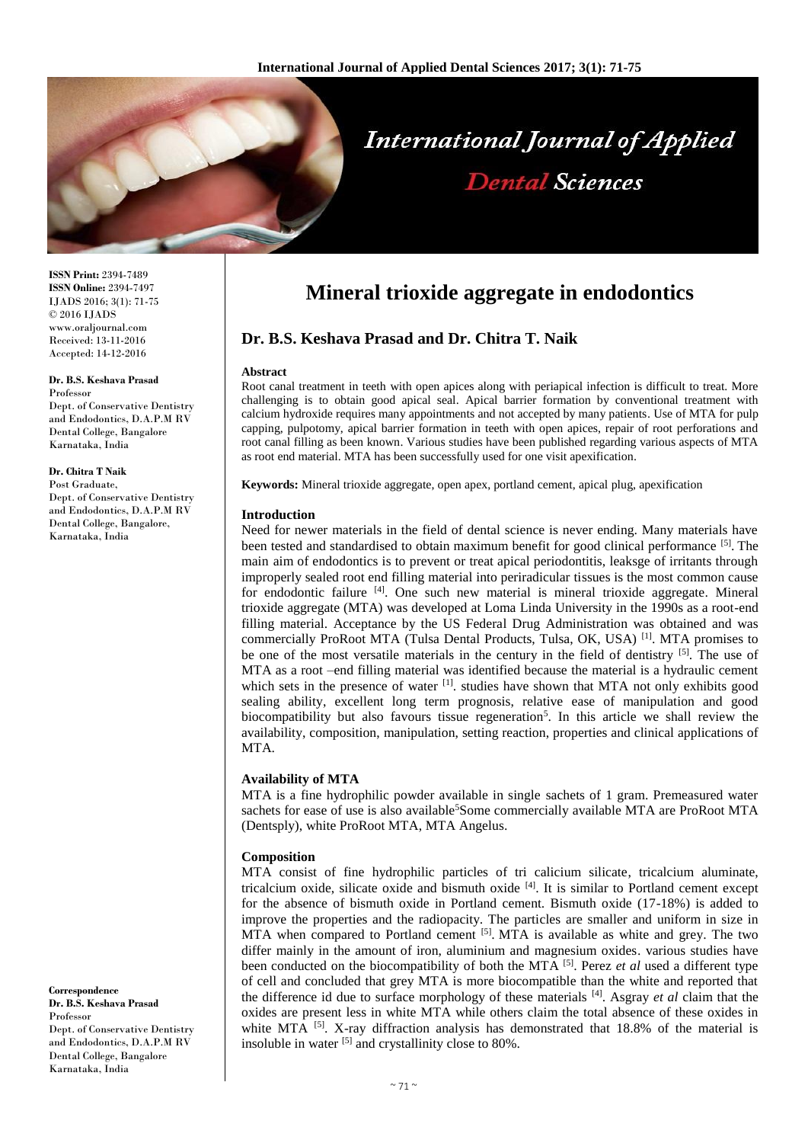

**ISSN Print:** 2394-7489 **ISSN Online:** 2394-7497 IJADS 2016; 3(1): 71-75 © 2016 IJADS www.oraljournal.com Received: 13-11-2016 Accepted: 14-12-2016

**Dr. B.S. Keshava Prasad** Professor Dept. of Conservative Dentistry and Endodontics, D.A.P.M RV Dental College, Bangalore Karnataka, India

**Dr. Chitra T Naik** Post Graduate, Dept. of Conservative Dentistry and Endodontics, D.A.P.M RV Dental College, Bangalore, Karnataka, India

**Correspondence Dr. B.S. Keshava Prasad** Professor Dept. of Conservative Dentistry and Endodontics, D.A.P.M RV Dental College, Bangalore Karnataka, India

# **Mineral trioxide aggregate in endodontics**

## **Dr. B.S. Keshava Prasad and Dr. Chitra T. Naik**

#### **Abstract**

Root canal treatment in teeth with open apices along with periapical infection is difficult to treat. More challenging is to obtain good apical seal. Apical barrier formation by conventional treatment with calcium hydroxide requires many appointments and not accepted by many patients. Use of MTA for pulp capping, pulpotomy, apical barrier formation in teeth with open apices, repair of root perforations and root canal filling as been known. Various studies have been published regarding various aspects of MTA as root end material. MTA has been successfully used for one visit apexification.

**Keywords:** Mineral trioxide aggregate, open apex, portland cement, apical plug, apexification

#### **Introduction**

Need for newer materials in the field of dental science is never ending. Many materials have been tested and standardised to obtain maximum benefit for good clinical performance [5]. The main aim of endodontics is to prevent or treat apical periodontitis, leaksge of irritants through improperly sealed root end filling material into periradicular tissues is the most common cause for endodontic failure <sup>[4]</sup>. One such new material is mineral trioxide aggregate. Mineral trioxide aggregate (MTA) was developed at Loma Linda University in the 1990s as a root-end filling material. Acceptance by the US Federal Drug Administration was obtained and was commercially ProRoot MTA (Tulsa Dental Products, Tulsa, OK, USA)<sup>[1]</sup>. MTA promises to be one of the most versatile materials in the century in the field of dentistry <sup>[5]</sup>. The use of MTA as a root –end filling material was identified because the material is a hydraulic cement which sets in the presence of water [1]. studies have shown that MTA not only exhibits good sealing ability, excellent long term prognosis, relative ease of manipulation and good biocompatibility but also favours tissue regeneration<sup>5</sup>. In this article we shall review the availability, composition, manipulation, setting reaction, properties and clinical applications of MTA.

### **Availability of MTA**

MTA is a fine hydrophilic powder available in single sachets of 1 gram. Premeasured water sachets for ease of use is also available<sup>5</sup>Some commercially available MTA are ProRoot MTA (Dentsply), white ProRoot MTA, MTA Angelus.

### **Composition**

MTA consist of fine hydrophilic particles of tri calicium silicate, tricalcium aluminate, tricalcium oxide, silicate oxide and bismuth oxide [4]. It is similar to Portland cement except for the absence of bismuth oxide in Portland cement. Bismuth oxide (17-18%) is added to improve the properties and the radiopacity. The particles are smaller and uniform in size in MTA when compared to Portland cement  $\left[5\right]$ . MTA is available as white and grey. The two differ mainly in the amount of iron, aluminium and magnesium oxides. various studies have been conducted on the biocompatibility of both the MTA [5] . Perez *et al* used a different type of cell and concluded that grey MTA is more biocompatible than the white and reported that the difference id due to surface morphology of these materials [4] . Asgray *et al* claim that the oxides are present less in white MTA while others claim the total absence of these oxides in white MTA <sup>[5]</sup>. X-ray diffraction analysis has demonstrated that 18.8% of the material is insoluble in water [5] and crystallinity close to 80%.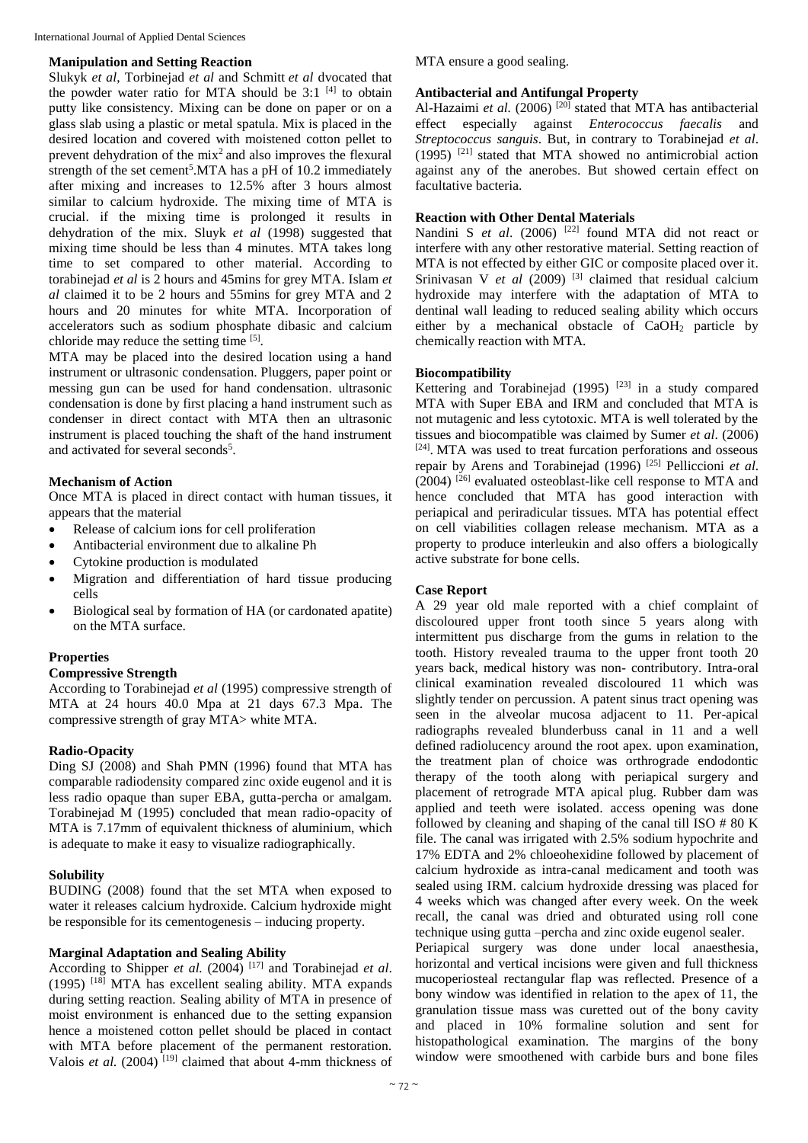International Journal of Applied Dental Sciences

#### **Manipulation and Setting Reaction**

Slukyk *et al*, Torbinejad *et al* and Schmitt *et al* dvocated that the powder water ratio for MTA should be  $3:1$  <sup>[4]</sup> to obtain putty like consistency. Mixing can be done on paper or on a glass slab using a plastic or metal spatula. Mix is placed in the desired location and covered with moistened cotton pellet to prevent dehydration of the  $mix^2$  and also improves the flexural strength of the set cement<sup>5</sup>.MTA has a pH of 10.2 immediately after mixing and increases to 12.5% after 3 hours almost similar to calcium hydroxide. The mixing time of MTA is crucial. if the mixing time is prolonged it results in dehydration of the mix. Sluyk *et al* (1998) suggested that mixing time should be less than 4 minutes. MTA takes long time to set compared to other material. According to torabinejad *et al* is 2 hours and 45mins for grey MTA. Islam *et al* claimed it to be 2 hours and 55mins for grey MTA and 2 hours and 20 minutes for white MTA. Incorporation of accelerators such as sodium phosphate dibasic and calcium chloride may reduce the setting time  $[5]$ .

MTA may be placed into the desired location using a hand instrument or ultrasonic condensation. Pluggers, paper point or messing gun can be used for hand condensation. ultrasonic condensation is done by first placing a hand instrument such as condenser in direct contact with MTA then an ultrasonic instrument is placed touching the shaft of the hand instrument and activated for several seconds<sup>5</sup>.

## **Mechanism of Action**

Once MTA is placed in direct contact with human tissues, it appears that the material

- Release of calcium ions for cell proliferation
- Antibacterial environment due to alkaline Ph
- Cytokine production is modulated
- Migration and differentiation of hard tissue producing cells
- Biological seal by formation of HA (or cardonated apatite) on the MTA surface.

### **Properties**

### **Compressive Strength**

According to Torabinejad *et al* (1995) compressive strength of MTA at 24 hours 40.0 Mpa at 21 days 67.3 Mpa. The compressive strength of gray MTA> white MTA.

## **Radio-Opacity**

Ding SJ (2008) and Shah PMN (1996) found that MTA has comparable radiodensity compared zinc oxide eugenol and it is less radio opaque than super EBA, gutta-percha or amalgam. Torabinejad M (1995) concluded that mean radio-opacity of MTA is 7.17mm of equivalent thickness of aluminium, which is adequate to make it easy to visualize radiographically.

### **Solubility**

BUDING (2008) found that the set MTA when exposed to water it releases calcium hydroxide. Calcium hydroxide might be responsible for its cementogenesis – inducing property.

### **Marginal Adaptation and Sealing Ability**

According to Shipper *et al.* (2004) [17] and Torabinejad *et al*. (1995) [18] MTA has excellent sealing ability. MTA expands during setting reaction. Sealing ability of MTA in presence of moist environment is enhanced due to the setting expansion hence a moistened cotton pellet should be placed in contact with MTA before placement of the permanent restoration. Valois *et al.* (2004)<sup>[19]</sup> claimed that about 4-mm thickness of

MTA ensure a good sealing.

### **Antibacterial and Antifungal Property**

Al-Hazaimi *et al.* (2006)<sup>[20]</sup> stated that MTA has antibacterial effect especially against *Enterococcus faecalis* and *Streptococcus sanguis*. But, in contrary to Torabinejad *et al*. (1995) [21] stated that MTA showed no antimicrobial action against any of the anerobes. But showed certain effect on facultative bacteria.

## **Reaction with Other Dental Materials**

Nandini S *et al.* (2006) <sup>[22]</sup> found MTA did not react or interfere with any other restorative material. Setting reaction of MTA is not effected by either GIC or composite placed over it. Srinivasan V *et al* (2009)<sup>[3]</sup> claimed that residual calcium hydroxide may interfere with the adaptation of MTA to dentinal wall leading to reduced sealing ability which occurs either by a mechanical obstacle of CaOH<sup>2</sup> particle by chemically reaction with MTA.

### **Biocompatibility**

Kettering and Torabinejad  $(1995)$ <sup>[23]</sup> in a study compared MTA with Super EBA and IRM and concluded that MTA is not mutagenic and less cytotoxic. MTA is well tolerated by the tissues and biocompatible was claimed by Sumer *et al*. (2006) [24] . MTA was used to treat furcation perforations and osseous repair by Arens and Torabinejad (1996) [25] Pelliccioni *et al*.  $(2004)$ <sup>[26]</sup> evaluated osteoblast-like cell response to MTA and hence concluded that MTA has good interaction with periapical and periradicular tissues. MTA has potential effect on cell viabilities collagen release mechanism. MTA as a property to produce interleukin and also offers a biologically active substrate for bone cells.

## **Case Report**

A 29 year old male reported with a chief complaint of discoloured upper front tooth since 5 years along with intermittent pus discharge from the gums in relation to the tooth. History revealed trauma to the upper front tooth 20 years back, medical history was non- contributory. Intra-oral clinical examination revealed discoloured 11 which was slightly tender on percussion. A patent sinus tract opening was seen in the alveolar mucosa adjacent to 11. Per-apical radiographs revealed blunderbuss canal in 11 and a well defined radiolucency around the root apex. upon examination, the treatment plan of choice was orthrograde endodontic therapy of the tooth along with periapical surgery and placement of retrograde MTA apical plug. Rubber dam was applied and teeth were isolated. access opening was done followed by cleaning and shaping of the canal till ISO # 80 K file. The canal was irrigated with 2.5% sodium hypochrite and 17% EDTA and 2% chloeohexidine followed by placement of calcium hydroxide as intra-canal medicament and tooth was sealed using IRM. calcium hydroxide dressing was placed for 4 weeks which was changed after every week. On the week recall, the canal was dried and obturated using roll cone technique using gutta –percha and zinc oxide eugenol sealer.

Periapical surgery was done under local anaesthesia, horizontal and vertical incisions were given and full thickness mucoperiosteal rectangular flap was reflected. Presence of a bony window was identified in relation to the apex of 11, the granulation tissue mass was curetted out of the bony cavity and placed in 10% formaline solution and sent for histopathological examination. The margins of the bony window were smoothened with carbide burs and bone files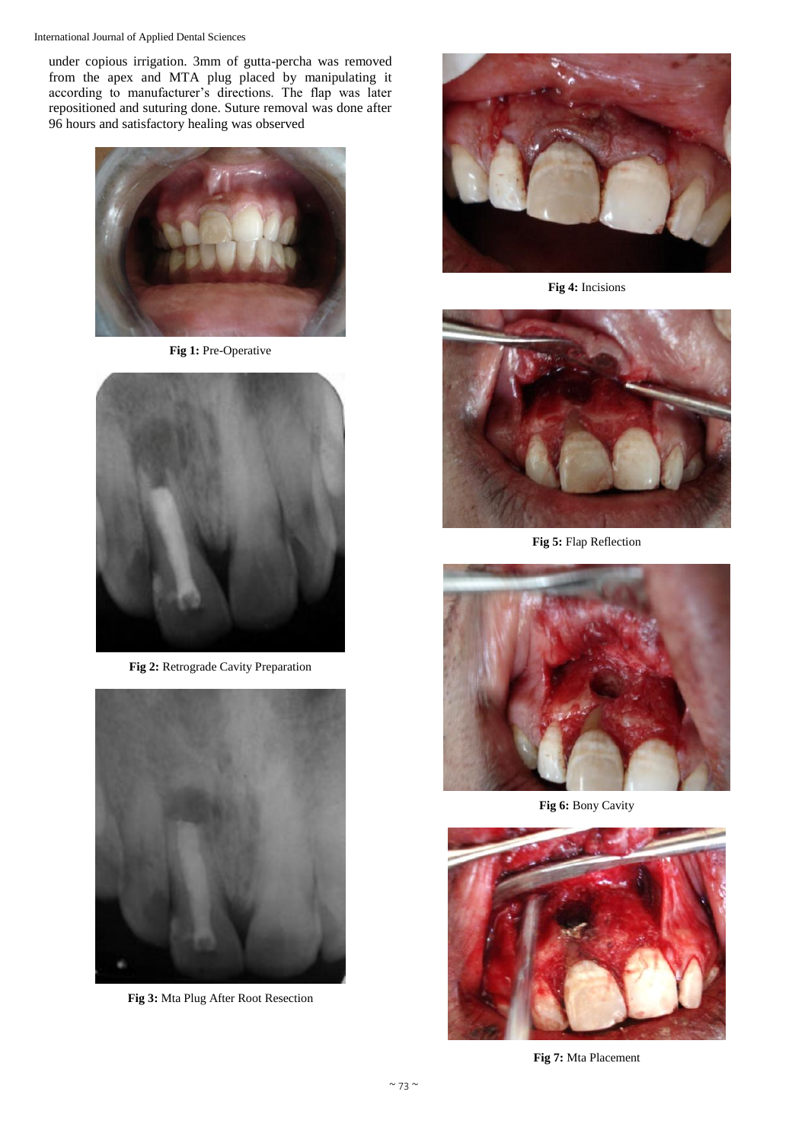#### International Journal of Applied Dental Sciences

under copious irrigation. 3mm of gutta-percha was removed from the apex and MTA plug placed by manipulating it according to manufacturer's directions. The flap was later repositioned and suturing done. Suture removal was done after 96 hours and satisfactory healing was observed



**Fig 1:** Pre-Operative



**Fig 2:** Retrograde Cavity Preparation



**Fig 3:** Mta Plug After Root Resection



**Fig 4:** Incisions



**Fig 5:** Flap Reflection



**Fig 6:** Bony Cavity



**Fig 7:** Mta Placement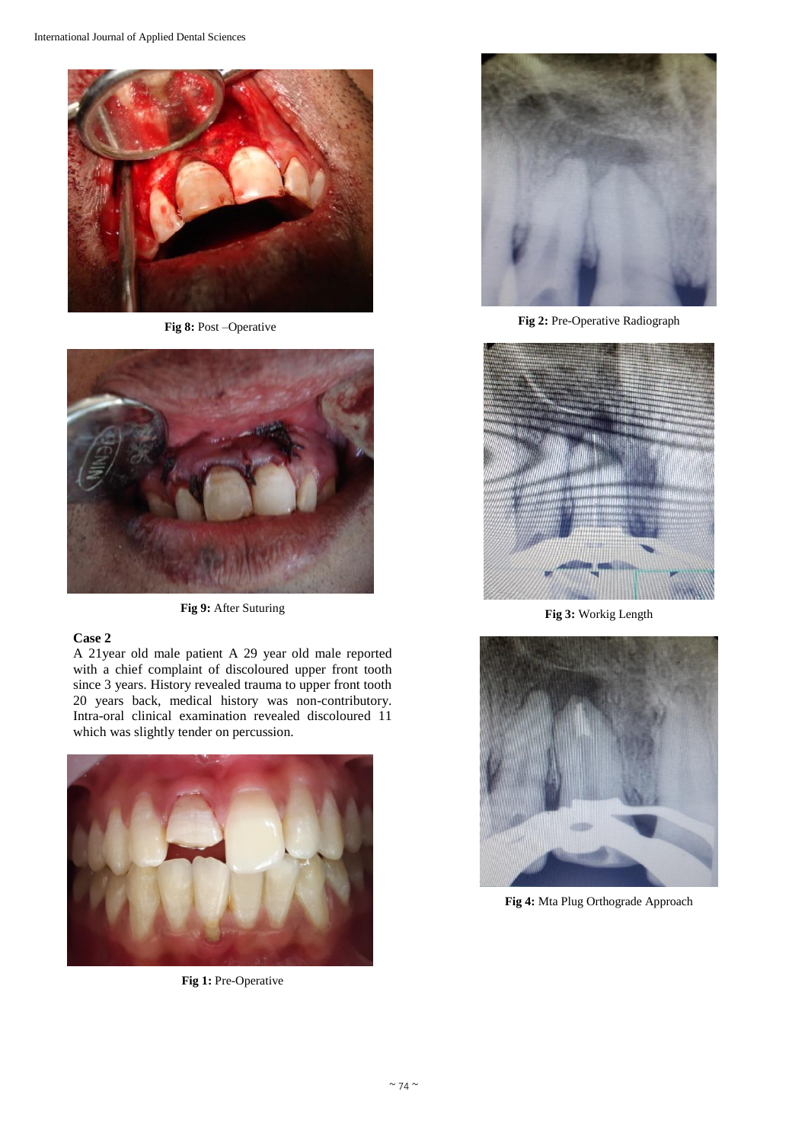

**Fig 8:** Post –Operative



**Fig 9:** After Suturing

#### **Case 2**

A 21year old male patient A 29 year old male reported with a chief complaint of discoloured upper front tooth since 3 years. History revealed trauma to upper front tooth 20 years back, medical history was non-contributory. Intra-oral clinical examination revealed discoloured 11 which was slightly tender on percussion.



**Fig 1:** Pre-Operative



**Fig 2:** Pre-Operative Radiograph



**Fig 3:** Workig Length



**Fig 4:** Mta Plug Orthograde Approach